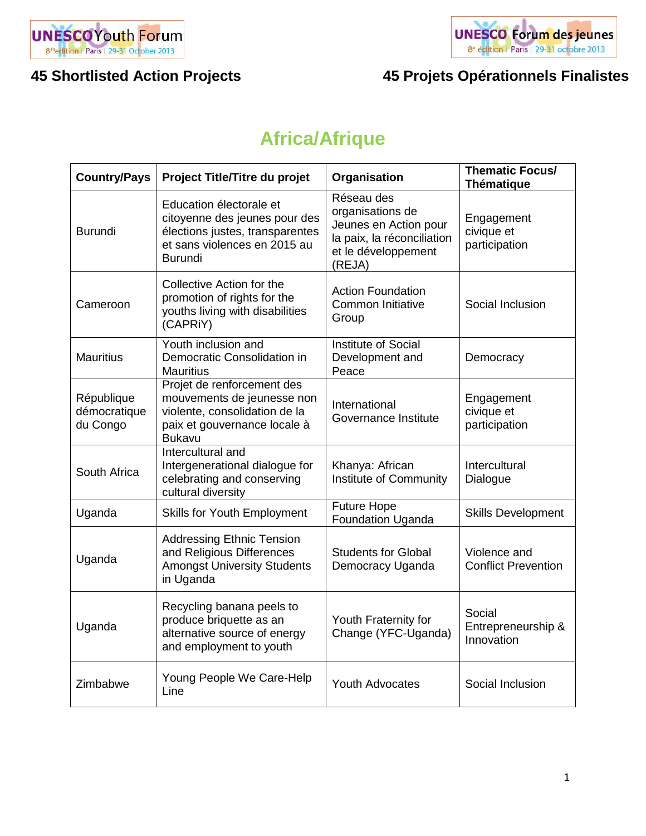



# **Africa/Afrique**

| <b>Country/Pays</b>                    | Project Title/Titre du projet                                                                                                                 | Organisation                                                                                                           | <b>Thematic Focus/</b><br><b>Thématique</b> |
|----------------------------------------|-----------------------------------------------------------------------------------------------------------------------------------------------|------------------------------------------------------------------------------------------------------------------------|---------------------------------------------|
| <b>Burundi</b>                         | Education électorale et<br>citoyenne des jeunes pour des<br>élections justes, transparentes<br>et sans violences en 2015 au<br><b>Burundi</b> | Réseau des<br>organisations de<br>Jeunes en Action pour<br>la paix, la réconciliation<br>et le développement<br>(REJA) | Engagement<br>civique et<br>participation   |
| Cameroon                               | Collective Action for the<br>promotion of rights for the<br>youths living with disabilities<br>(CAPRIY)                                       | <b>Action Foundation</b><br><b>Common Initiative</b><br>Group                                                          | Social Inclusion                            |
| <b>Mauritius</b>                       | Youth inclusion and<br>Democratic Consolidation in<br><b>Mauritius</b>                                                                        | <b>Institute of Social</b><br>Development and<br>Peace                                                                 | Democracy                                   |
| République<br>démocratique<br>du Congo | Projet de renforcement des<br>mouvements de jeunesse non<br>violente, consolidation de la<br>paix et gouvernance locale à<br><b>Bukavu</b>    | International<br>Governance Institute                                                                                  | Engagement<br>civique et<br>participation   |
| South Africa                           | Intercultural and<br>Intergenerational dialogue for<br>celebrating and conserving<br>cultural diversity                                       | Khanya: African<br>Institute of Community                                                                              | Intercultural<br>Dialogue                   |
| Uganda                                 | <b>Skills for Youth Employment</b>                                                                                                            | <b>Future Hope</b><br><b>Foundation Uganda</b>                                                                         | <b>Skills Development</b>                   |
| Uganda                                 | <b>Addressing Ethnic Tension</b><br>and Religious Differences<br><b>Amongst University Students</b><br>in Uganda                              | <b>Students for Global</b><br>Democracy Uganda                                                                         | Violence and<br><b>Conflict Prevention</b>  |
| Uganda                                 | Recycling banana peels to<br>produce briquette as an<br>alternative source of energy<br>and employment to youth                               | Youth Fraternity for<br>Change (YFC-Uganda)                                                                            | Social<br>Entrepreneurship &<br>Innovation  |
| Zimbabwe                               | Young People We Care-Help<br>Line                                                                                                             | <b>Youth Advocates</b>                                                                                                 | Social Inclusion                            |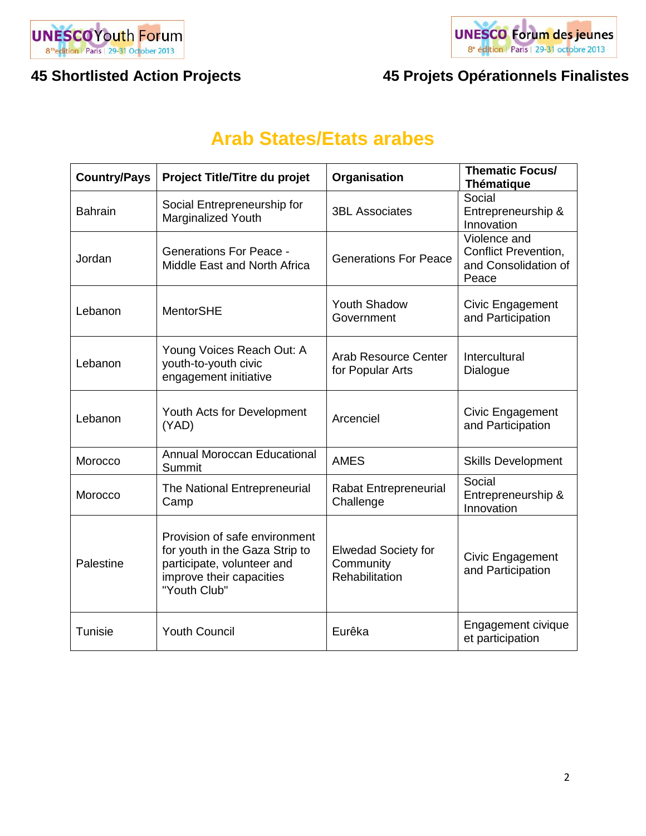



# **Arab States/Etats arabes**

| <b>Country/Pays</b> | Project Title/Titre du projet                                                                                                             | Organisation                                                     | <b>Thematic Focus/</b><br><b>Thématique</b>                                  |
|---------------------|-------------------------------------------------------------------------------------------------------------------------------------------|------------------------------------------------------------------|------------------------------------------------------------------------------|
| <b>Bahrain</b>      | Social Entrepreneurship for<br>Marginalized Youth                                                                                         | <b>3BL Associates</b>                                            | Social<br>Entrepreneurship &<br>Innovation                                   |
| Jordan              | <b>Generations For Peace -</b><br>Middle East and North Africa                                                                            | <b>Generations For Peace</b>                                     | Violence and<br><b>Conflict Prevention,</b><br>and Consolidation of<br>Peace |
| Lebanon             | <b>MentorSHE</b>                                                                                                                          | <b>Youth Shadow</b><br>Government                                | Civic Engagement<br>and Participation                                        |
| Lebanon             | Young Voices Reach Out: A<br>youth-to-youth civic<br>engagement initiative                                                                | <b>Arab Resource Center</b><br>for Popular Arts                  | Intercultural<br>Dialogue                                                    |
| Lebanon             | Youth Acts for Development<br>(YAD)                                                                                                       | Arcenciel                                                        | Civic Engagement<br>and Participation                                        |
| Morocco             | <b>Annual Moroccan Educational</b><br>Summit                                                                                              | <b>AMES</b>                                                      | <b>Skills Development</b>                                                    |
| Morocco             | The National Entrepreneurial<br>Camp                                                                                                      | <b>Rabat Entrepreneurial</b><br>Challenge                        | Social<br>Entrepreneurship &<br>Innovation                                   |
| Palestine           | Provision of safe environment<br>for youth in the Gaza Strip to<br>participate, volunteer and<br>improve their capacities<br>"Youth Club" | <b>Elwedad Society for</b><br>Community<br><b>Rehabilitation</b> | Civic Engagement<br>and Participation                                        |
| Tunisie             | <b>Youth Council</b>                                                                                                                      | Eurêka                                                           | Engagement civique<br>et participation                                       |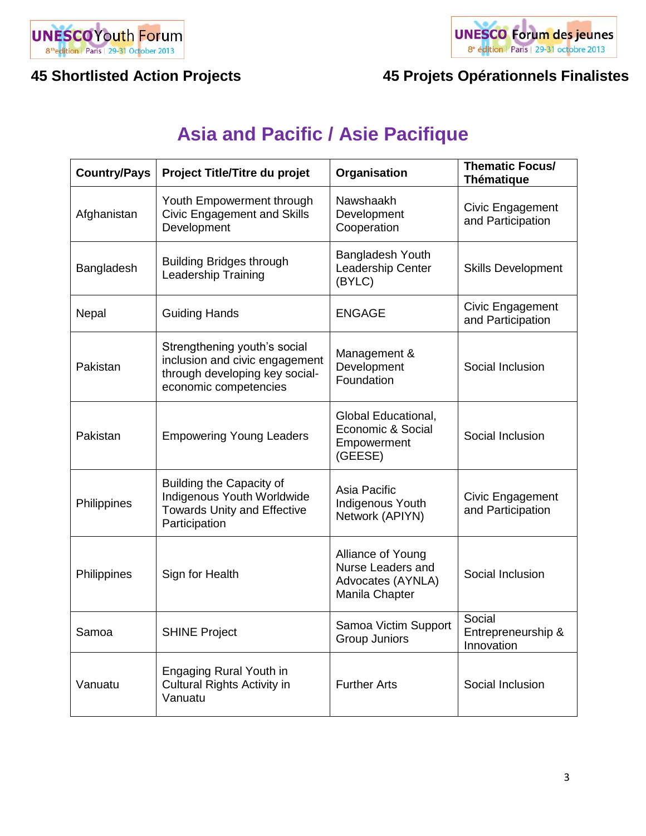



# **Asia and Pacific / Asie Pacifique**

| <b>Country/Pays</b> | Project Title/Titre du projet                                                                                             | Organisation                                                                  | <b>Thematic Focus/</b><br><b>Thématique</b> |
|---------------------|---------------------------------------------------------------------------------------------------------------------------|-------------------------------------------------------------------------------|---------------------------------------------|
| Afghanistan         | Youth Empowerment through<br><b>Civic Engagement and Skills</b><br>Development                                            | Nawshaakh<br>Development<br>Cooperation                                       | Civic Engagement<br>and Participation       |
| Bangladesh          | <b>Building Bridges through</b><br><b>Leadership Training</b>                                                             | Bangladesh Youth<br>Leadership Center<br>(BYLC)                               | <b>Skills Development</b>                   |
| Nepal               | <b>Guiding Hands</b>                                                                                                      | <b>ENGAGE</b>                                                                 | Civic Engagement<br>and Participation       |
| Pakistan            | Strengthening youth's social<br>inclusion and civic engagement<br>through developing key social-<br>economic competencies | Management &<br>Development<br>Foundation                                     | Social Inclusion                            |
| Pakistan            | <b>Empowering Young Leaders</b>                                                                                           | Global Educational,<br>Economic & Social<br>Empowerment<br>(GEESE)            | Social Inclusion                            |
| Philippines         | <b>Building the Capacity of</b><br>Indigenous Youth Worldwide<br><b>Towards Unity and Effective</b><br>Participation      | Asia Pacific<br>Indigenous Youth<br>Network (APIYN)                           | Civic Engagement<br>and Participation       |
| Philippines         | Sign for Health                                                                                                           | Alliance of Young<br>Nurse Leaders and<br>Advocates (AYNLA)<br>Manila Chapter | Social Inclusion                            |
| Samoa               | <b>SHINE Project</b>                                                                                                      | Samoa Victim Support<br>Group Juniors                                         | Social<br>Entrepreneurship &<br>Innovation  |
| Vanuatu             | Engaging Rural Youth in<br><b>Cultural Rights Activity in</b><br>Vanuatu                                                  | <b>Further Arts</b>                                                           | Social Inclusion                            |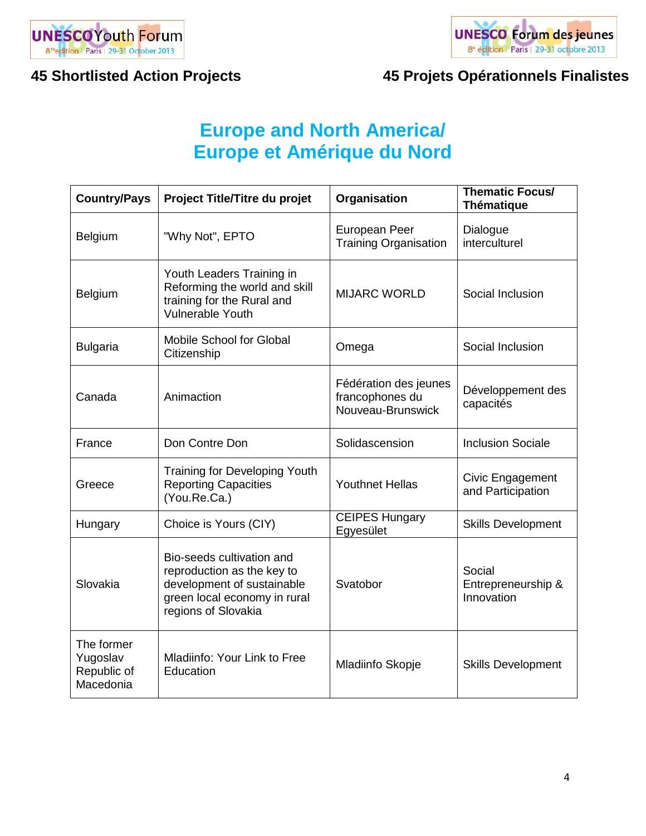



# **Europe and North America/ Europe et Amérique du Nord**

| <b>Country/Pays</b>                                | Project Title/Titre du projet                                                                                                                | Organisation                                                  | <b>Thematic Focus/</b><br><b>Thématique</b> |
|----------------------------------------------------|----------------------------------------------------------------------------------------------------------------------------------------------|---------------------------------------------------------------|---------------------------------------------|
| Belgium                                            | "Why Not", EPTO                                                                                                                              | European Peer<br><b>Training Organisation</b>                 | Dialogue<br>interculturel                   |
| Belgium                                            | Youth Leaders Training in<br>Reforming the world and skill<br>training for the Rural and<br><b>Vulnerable Youth</b>                          | <b>MIJARC WORLD</b>                                           | Social Inclusion                            |
| <b>Bulgaria</b>                                    | <b>Mobile School for Global</b><br>Citizenship                                                                                               | Omega                                                         | Social Inclusion                            |
| Canada                                             | Animaction                                                                                                                                   | Fédération des jeunes<br>francophones du<br>Nouveau-Brunswick | Développement des<br>capacités              |
| France                                             | Don Contre Don                                                                                                                               | Solidascension                                                | <b>Inclusion Sociale</b>                    |
| Greece                                             | <b>Training for Developing Youth</b><br><b>Reporting Capacities</b><br>(You.Re.Ca.)                                                          | <b>Youthnet Hellas</b>                                        | Civic Engagement<br>and Participation       |
| Hungary                                            | Choice is Yours (CIY)                                                                                                                        | <b>CEIPES Hungary</b><br>Egyesület                            | <b>Skills Development</b>                   |
| Slovakia                                           | Bio-seeds cultivation and<br>reproduction as the key to<br>development of sustainable<br>green local economy in rural<br>regions of Slovakia | Svatobor                                                      | Social<br>Entrepreneurship &<br>Innovation  |
| The former<br>Yugoslav<br>Republic of<br>Macedonia | Mladiinfo: Your Link to Free<br>Education                                                                                                    | Mladiinfo Skopje                                              | <b>Skills Development</b>                   |